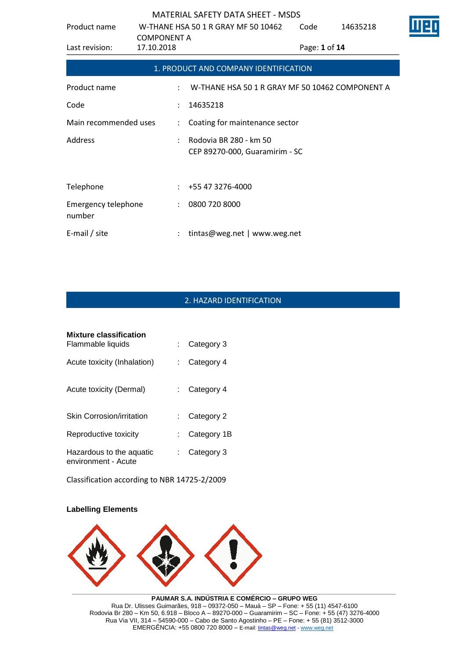| Product name                  | <b>COMPONENT A</b>   | W-THANE HSA 50 1 R GRAY MF 50 10462                      | Code | 14635218      |  |
|-------------------------------|----------------------|----------------------------------------------------------|------|---------------|--|
| Last revision:                | 17.10.2018           |                                                          |      | Page: 1 of 14 |  |
|                               |                      | 1. PRODUCT AND COMPANY IDENTIFICATION                    |      |               |  |
| Product name                  | ÷                    | W-THANE HSA 50 1 R GRAY MF 50 10462 COMPONENT A          |      |               |  |
| Code                          | ÷                    | 14635218                                                 |      |               |  |
| Main recommended uses         | $\ddot{\phantom{a}}$ | Coating for maintenance sector                           |      |               |  |
| Address                       | $\ddot{\phantom{a}}$ | Rodovia BR 280 - km 50<br>CEP 89270-000, Guaramirim - SC |      |               |  |
|                               |                      |                                                          |      |               |  |
| Telephone                     | $\ddot{\phantom{a}}$ | +55 47 3276-4000                                         |      |               |  |
| Emergency telephone<br>number |                      | 0800 720 8000                                            |      |               |  |
| E-mail / site                 |                      | tintas@weg.net   www.weg.net                             |      |               |  |

# 2. HAZARD IDENTIFICATION

| <b>Mixture classification</b><br>Flammable liquids | $\therefore$ Category 3 |
|----------------------------------------------------|-------------------------|
| Acute toxicity (Inhalation)                        | $:$ Category 4          |
| Acute toxicity (Dermal)                            | $\therefore$ Category 4 |
| <b>Skin Corrosion/irritation</b>                   | $\therefore$ Category 2 |
| Reproductive toxicity                              | Category 1B             |
| Hazardous to the aquatic<br>environment - Acute    | $\therefore$ Category 3 |

Classification according to NBR 14725-2/2009

#### **Labelling Elements**



**PAUMAR S.A. INDÚSTRIA E COMÉRCIO – GRUPO WEG** Rua Dr. Ulisses Guimarães, 918 – 09372-050 – Mauá – SP – Fone: + 55 (11) 4547-6100 Rodovia Br 280 – Km 50, 6.918 – Bloco A – 89270-000 – Guaramirim – SC – Fone: + 55 (47) 3276-4000 Rua Via VII, 314 – 54590-000 – Cabo de Santo Agostinho – PE – Fone: + 55 (81) 3512-3000 EMERGËNCIA: +55 0800 720 8000 – E-mail[: tintas@weg.net](mailto:tintas@weg.net) - [www.weg.net](http://www.weg.net/)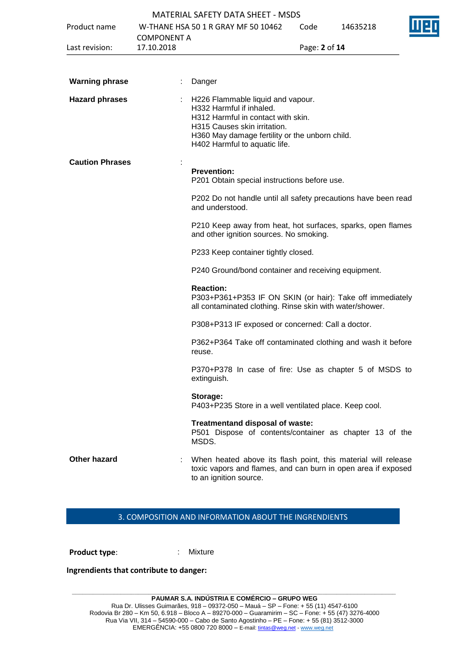|                        |                    | MATENIAL SAFETT DATA SHEET - MISDS                                                                                                                                                                                     |               |          |
|------------------------|--------------------|------------------------------------------------------------------------------------------------------------------------------------------------------------------------------------------------------------------------|---------------|----------|
| Product name           | <b>COMPONENT A</b> | W-THANE HSA 50 1 R GRAY MF 50 10462                                                                                                                                                                                    | Code          | 14635218 |
| Last revision:         | 17.10.2018         |                                                                                                                                                                                                                        | Page: 2 of 14 |          |
|                        |                    |                                                                                                                                                                                                                        |               |          |
| <b>Warning phrase</b>  |                    | Danger                                                                                                                                                                                                                 |               |          |
| <b>Hazard phrases</b>  |                    | H226 Flammable liquid and vapour.<br>H332 Harmful if inhaled.<br>H312 Harmful in contact with skin.<br>H315 Causes skin irritation.<br>H360 May damage fertility or the unborn child.<br>H402 Harmful to aquatic life. |               |          |
| <b>Caution Phrases</b> |                    | <b>Prevention:</b><br>P201 Obtain special instructions before use.                                                                                                                                                     |               |          |
|                        |                    | P202 Do not handle until all safety precautions have been read<br>and understood.                                                                                                                                      |               |          |
|                        |                    | P210 Keep away from heat, hot surfaces, sparks, open flames<br>and other ignition sources. No smoking.                                                                                                                 |               |          |
|                        |                    | P233 Keep container tightly closed.                                                                                                                                                                                    |               |          |
|                        |                    | P240 Ground/bond container and receiving equipment.                                                                                                                                                                    |               |          |
|                        |                    | <b>Reaction:</b><br>P303+P361+P353 IF ON SKIN (or hair): Take off immediately<br>all contaminated clothing. Rinse skin with water/shower.                                                                              |               |          |
|                        |                    | P308+P313 IF exposed or concerned: Call a doctor.                                                                                                                                                                      |               |          |
|                        |                    | P362+P364 Take off contaminated clothing and wash it before<br>reuse.                                                                                                                                                  |               |          |
|                        |                    | P370+P378 In case of fire: Use as chapter 5 of MSDS to<br>extinguish.                                                                                                                                                  |               |          |
|                        |                    | Storage:<br>P403+P235 Store in a well ventilated place. Keep cool.                                                                                                                                                     |               |          |
|                        |                    | Treatmentand disposal of waste:<br>P501 Dispose of contents/container as chapter 13 of the<br>MSDS.                                                                                                                    |               |          |
| Other hazard           |                    | When heated above its flash point, this material will release<br>toxic vapors and flames, and can burn in open area if exposed<br>to an ignition source.                                                               |               |          |

### 3. COMPOSITION AND INFORMATION ABOUT THE INGRENDIENTS

**Product type:** : : : : : Mixture

### **Ingrendients that contribute to danger:**

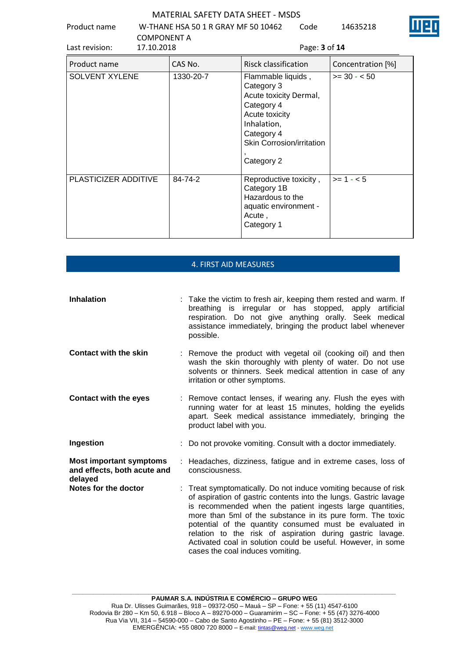Product name W-THANE HSA 50 1 R GRAY MF 50 10462 COMPONENT A Code 14635218



| Last revision:<br>17.10.2018 |           | Page: 3 of 14                                                                                                                                                             |                   |
|------------------------------|-----------|---------------------------------------------------------------------------------------------------------------------------------------------------------------------------|-------------------|
| Product name                 | CAS No.   | Risck classification                                                                                                                                                      | Concentration [%] |
| <b>SOLVENT XYLENE</b>        | 1330-20-7 | Flammable liquids,<br>Category 3<br>Acute toxicity Dermal,<br>Category 4<br>Acute toxicity<br>Inhalation,<br>Category 4<br><b>Skin Corrosion/irritation</b><br>Category 2 | $>= 30 - 50$      |
| PLASTICIZER ADDITIVE         | 84-74-2   | Reproductive toxicity,<br>Category 1B<br>Hazardous to the<br>aquatic environment -<br>Acute,<br>Category 1                                                                | $>= 1 - 5$        |

|                                                                          | <b>4. FIRST AID MEASURES</b>                                                                                                                                                                                                                                                                                                                                                                                                                                                               |
|--------------------------------------------------------------------------|--------------------------------------------------------------------------------------------------------------------------------------------------------------------------------------------------------------------------------------------------------------------------------------------------------------------------------------------------------------------------------------------------------------------------------------------------------------------------------------------|
|                                                                          |                                                                                                                                                                                                                                                                                                                                                                                                                                                                                            |
| <b>Inhalation</b>                                                        | : Take the victim to fresh air, keeping them rested and warm. If<br>breathing is irregular or has stopped, apply<br>artificial<br>respiration. Do not give anything orally. Seek medical<br>assistance immediately, bringing the product label whenever<br>possible.                                                                                                                                                                                                                       |
| <b>Contact with the skin</b>                                             | : Remove the product with vegetal oil (cooking oil) and then<br>wash the skin thoroughly with plenty of water. Do not use<br>solvents or thinners. Seek medical attention in case of any<br>irritation or other symptoms.                                                                                                                                                                                                                                                                  |
| <b>Contact with the eyes</b>                                             | : Remove contact lenses, if wearing any. Flush the eyes with<br>running water for at least 15 minutes, holding the eyelids<br>apart. Seek medical assistance immediately, bringing the<br>product label with you.                                                                                                                                                                                                                                                                          |
| Ingestion                                                                | Do not provoke vomiting. Consult with a doctor immediately.                                                                                                                                                                                                                                                                                                                                                                                                                                |
| <b>Most important symptoms</b><br>and effects, both acute and<br>delayed | : Headaches, dizziness, fatigue and in extreme cases, loss of<br>consciousness.                                                                                                                                                                                                                                                                                                                                                                                                            |
| Notes for the doctor                                                     | : Treat symptomatically. Do not induce vomiting because of risk<br>of aspiration of gastric contents into the lungs. Gastric lavage<br>is recommended when the patient ingests large quantities,<br>more than 5ml of the substance in its pure form. The toxic<br>potential of the quantity consumed must be evaluated in<br>relation to the risk of aspiration during gastric lavage.<br>Activated coal in solution could be useful. However, in some<br>cases the coal induces vomiting. |

**\_\_\_\_\_\_\_\_\_\_\_\_\_\_\_\_\_\_\_\_\_\_\_\_\_\_\_\_\_\_\_\_\_\_\_\_\_\_\_\_\_\_\_\_\_\_\_\_\_\_\_\_\_\_\_\_\_\_\_\_\_\_\_\_\_\_\_\_\_\_\_\_\_\_\_\_\_\_\_\_\_\_\_\_\_\_\_\_\_\_\_\_\_ PAUMAR S.A. INDÚSTRIA E COMÉRCIO – GRUPO WEG** Rua Dr. Ulisses Guimarães, 918 – 09372-050 – Mauá – SP – Fone: + 55 (11) 4547-6100 Rodovia Br 280 – Km 50, 6.918 – Bloco A – 89270-000 – Guaramirim – SC – Fone: + 55 (47) 3276-4000 Rua Via VII, 314 – 54590-000 – Cabo de Santo Agostinho – PE – Fone: + 55 (81) 3512-3000 EMERGËNCIA: +55 0800 720 8000 – E-mail[: tintas@weg.net](mailto:tintas@weg.net) - [www.weg.net](http://www.weg.net/)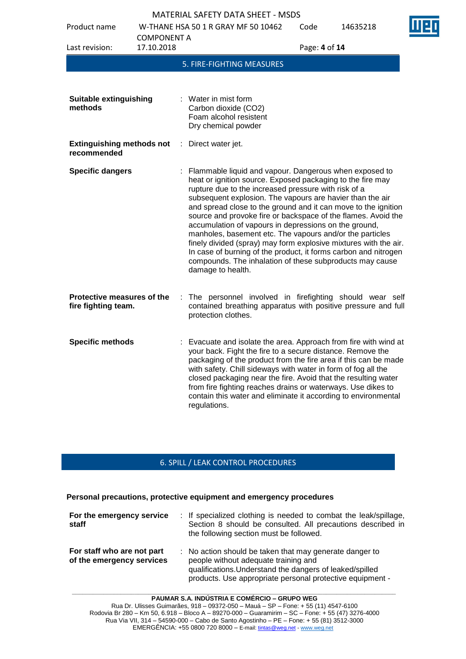| Product name                                             |                                  | W-THANE HSA 50 1 R GRAY MF 50 10462                                                                                                                                                                                                                                                                                                                                                                                                                                                                                                                                                                                                                                                                                       | Code          | 14635218 |
|----------------------------------------------------------|----------------------------------|---------------------------------------------------------------------------------------------------------------------------------------------------------------------------------------------------------------------------------------------------------------------------------------------------------------------------------------------------------------------------------------------------------------------------------------------------------------------------------------------------------------------------------------------------------------------------------------------------------------------------------------------------------------------------------------------------------------------------|---------------|----------|
| Last revision:                                           | <b>COMPONENT A</b><br>17.10.2018 |                                                                                                                                                                                                                                                                                                                                                                                                                                                                                                                                                                                                                                                                                                                           | Page: 4 of 14 |          |
|                                                          |                                  | 5. FIRE-FIGHTING MEASURES                                                                                                                                                                                                                                                                                                                                                                                                                                                                                                                                                                                                                                                                                                 |               |          |
|                                                          |                                  |                                                                                                                                                                                                                                                                                                                                                                                                                                                                                                                                                                                                                                                                                                                           |               |          |
| <b>Suitable extinguishing</b><br>methods                 |                                  | : Water in mist form<br>Carbon dioxide (CO2)<br>Foam alcohol resistent<br>Dry chemical powder                                                                                                                                                                                                                                                                                                                                                                                                                                                                                                                                                                                                                             |               |          |
| <b>Extinguishing methods not</b><br>recommended          | -11                              | Direct water jet.                                                                                                                                                                                                                                                                                                                                                                                                                                                                                                                                                                                                                                                                                                         |               |          |
| <b>Specific dangers</b>                                  |                                  | Flammable liquid and vapour. Dangerous when exposed to<br>heat or ignition source. Exposed packaging to the fire may<br>rupture due to the increased pressure with risk of a<br>subsequent explosion. The vapours are havier than the air<br>and spread close to the ground and it can move to the ignition<br>source and provoke fire or backspace of the flames. Avoid the<br>accumulation of vapours in depressions on the ground,<br>manholes, basement etc. The vapours and/or the particles<br>finely divided (spray) may form explosive mixtures with the air.<br>In case of burning of the product, it forms carbon and nitrogen<br>compounds. The inhalation of these subproducts may cause<br>damage to health. |               |          |
| <b>Protective measures of the</b><br>fire fighting team. |                                  | The personnel involved in firefighting should wear self<br>contained breathing apparatus with positive pressure and full<br>protection clothes.                                                                                                                                                                                                                                                                                                                                                                                                                                                                                                                                                                           |               |          |
| <b>Specific methods</b>                                  |                                  | Evacuate and isolate the area. Approach from fire with wind at<br>your back. Fight the fire to a secure distance. Remove the<br>packaging of the product from the fire area if this can be made<br>with safety. Chill sideways with water in form of fog all the<br>closed packaging near the fire. Avoid that the resulting water<br>from fire fighting reaches drains or waterways. Use dikes to<br>contain this water and eliminate it according to environmental                                                                                                                                                                                                                                                      |               |          |

## 6. SPILL / LEAK CONTROL PROCEDURES

#### **Personal precautions, protective equipment and emergency procedures**

regulations.

| For the emergency service<br>staff                      | : If specialized clothing is needed to combat the leak/spillage,<br>Section 8 should be consulted. All precautions described in<br>the following section must be followed.                                               |
|---------------------------------------------------------|--------------------------------------------------------------------------------------------------------------------------------------------------------------------------------------------------------------------------|
| For staff who are not part<br>of the emergency services | : No action should be taken that may generate danger to<br>people without adequate training and<br>qualifications. Understand the dangers of leaked/spilled<br>products. Use appropriate personal protective equipment - |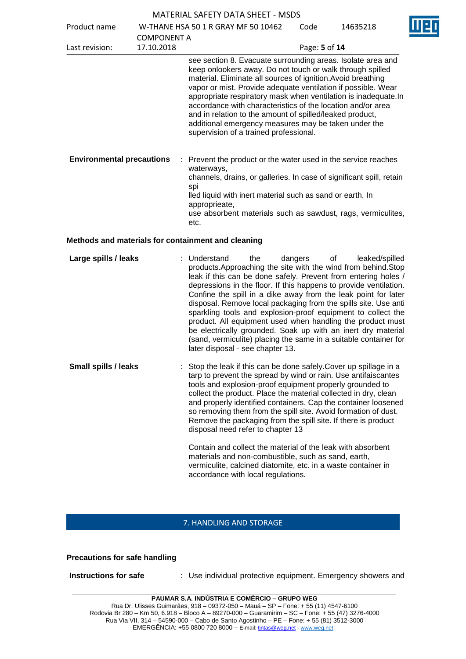| <b>MATERIAL SAFETY DATA SHEET - MSDS</b> |  |
|------------------------------------------|--|
|------------------------------------------|--|

Product name W-THANE HSA 50 1 R GRAY MF 50 10462

 $C^{\text{odd}} = 14635348$ 



| r Tuuuttilaillit                 |                    | 20 ביוואו וחורשות של הכוו באורו                                                                                                                                                                                                                                                                                                                                                                                                                                                                                                                           | <b>CUUC</b>   | 14099410 |
|----------------------------------|--------------------|-----------------------------------------------------------------------------------------------------------------------------------------------------------------------------------------------------------------------------------------------------------------------------------------------------------------------------------------------------------------------------------------------------------------------------------------------------------------------------------------------------------------------------------------------------------|---------------|----------|
|                                  | <b>COMPONENT A</b> |                                                                                                                                                                                                                                                                                                                                                                                                                                                                                                                                                           |               |          |
| Last revision:                   | 17.10.2018         |                                                                                                                                                                                                                                                                                                                                                                                                                                                                                                                                                           | Page: 5 of 14 |          |
|                                  |                    | see section 8. Evacuate surrounding areas. Isolate area and<br>keep onlookers away. Do not touch or walk through spilled<br>material. Eliminate all sources of ignition. Avoid breathing<br>vapor or mist. Provide adequate ventilation if possible. Wear<br>appropriate respiratory mask when ventilation is inadequate. In<br>accordance with characteristics of the location and/or area<br>and in relation to the amount of spilled/leaked product,<br>additional emergency measures may be taken under the<br>supervision of a trained professional. |               |          |
| <b>Environmental precautions</b> |                    | : Prevent the product or the water used in the service reaches<br>waterways,<br>channels, drains, or galleries. In case of significant spill, retain<br>spi<br>lled liquid with inert material such as sand or earth. In<br>approprieate,<br>use absorbent materials such as sawdust, rags, vermiculites,<br>etc.                                                                                                                                                                                                                                         |               |          |

#### **Methods and materials for containment and cleaning**

| Large spills / leaks | : Understand<br>later disposal - see chapter 13.                | the | dangers | of . | leaked/spilled<br>products. Approaching the site with the wind from behind. Stop<br>leak if this can be done safely. Prevent from entering holes /<br>depressions in the floor. If this happens to provide ventilation.<br>Confine the spill in a dike away from the leak point for later<br>disposal. Remove local packaging from the spills site. Use anti<br>sparkling tools and explosion-proof equipment to collect the<br>product. All equipment used when handling the product must<br>be electrically grounded. Soak up with an inert dry material<br>(sand, vermiculite) placing the same in a suitable container for |
|----------------------|-----------------------------------------------------------------|-----|---------|------|--------------------------------------------------------------------------------------------------------------------------------------------------------------------------------------------------------------------------------------------------------------------------------------------------------------------------------------------------------------------------------------------------------------------------------------------------------------------------------------------------------------------------------------------------------------------------------------------------------------------------------|
| Small spills / leaks | Stop the leak if this can be done safely Cover up spillage in a |     |         |      |                                                                                                                                                                                                                                                                                                                                                                                                                                                                                                                                                                                                                                |

**Small spills / leaks** : Stop the leak if this can be done safely.Cover up spillage in a tarp to prevent the spread by wind or rain. Use antifaiscantes tools and explosion-proof equipment properly grounded to collect the product. Place the material collected in dry, clean and properly identified containers. Cap the container loosened so removing them from the spill site. Avoid formation of dust. Remove the packaging from the spill site. If there is product disposal need refer to chapter 13

> Contain and collect the material of the leak with absorbent materials and non-combustible, such as sand, earth, vermiculite, calcined diatomite, etc. in a waste container in accordance with local regulations.

#### 7. HANDLING AND STORAGE

#### **Precautions for safe handling**

**Instructions for safe : Use individual protective equipment. Emergency showers and** 

**PAUMAR S.A. INDÚSTRIA E COMÉRCIO – GRUPO WEG** Rua Dr. Ulisses Guimarães, 918 – 09372-050 – Mauá – SP – Fone: + 55 (11) 4547-6100 Rodovia Br 280 – Km 50, 6.918 – Bloco A – 89270-000 – Guaramirim – SC – Fone: + 55 (47) 3276-4000 Rua Via VII, 314 – 54590-000 – Cabo de Santo Agostinho – PE – Fone: + 55 (81) 3512-3000 EMERGÊNCIA: +55 0800 720 8000 – E-mail[: tintas@weg.net](mailto:tintas@weg.net) - [www.weg.net](http://www.weg.net/)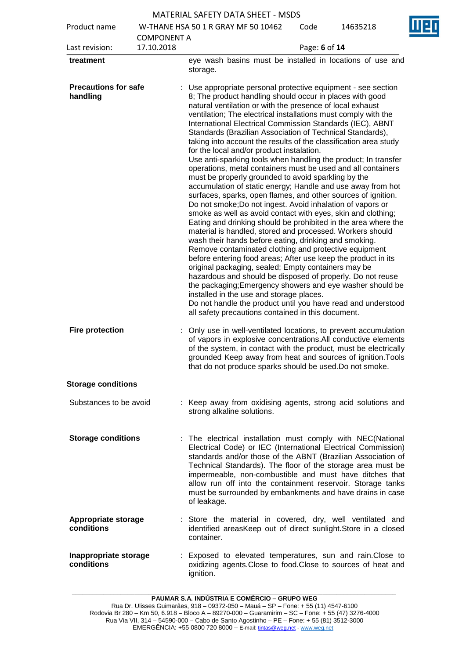| Product name                            | <b>COMPONENT A</b> | W-THANE HSA 50 1 R GRAY MF 50 10462                                                                                                                                                                                                                                                                                                                                                                                                                                                                                                                                                                                                                                                                                                                                                                                                                                                                                                                                                                                                                                                                                                                                                                                                                                                                                                                                                                                                                                                                                                                                                                                            | Code          | 14635218 |  |
|-----------------------------------------|--------------------|--------------------------------------------------------------------------------------------------------------------------------------------------------------------------------------------------------------------------------------------------------------------------------------------------------------------------------------------------------------------------------------------------------------------------------------------------------------------------------------------------------------------------------------------------------------------------------------------------------------------------------------------------------------------------------------------------------------------------------------------------------------------------------------------------------------------------------------------------------------------------------------------------------------------------------------------------------------------------------------------------------------------------------------------------------------------------------------------------------------------------------------------------------------------------------------------------------------------------------------------------------------------------------------------------------------------------------------------------------------------------------------------------------------------------------------------------------------------------------------------------------------------------------------------------------------------------------------------------------------------------------|---------------|----------|--|
| Last revision:                          | 17.10.2018         |                                                                                                                                                                                                                                                                                                                                                                                                                                                                                                                                                                                                                                                                                                                                                                                                                                                                                                                                                                                                                                                                                                                                                                                                                                                                                                                                                                                                                                                                                                                                                                                                                                | Page: 6 of 14 |          |  |
| treatment                               |                    | eye wash basins must be installed in locations of use and<br>storage.                                                                                                                                                                                                                                                                                                                                                                                                                                                                                                                                                                                                                                                                                                                                                                                                                                                                                                                                                                                                                                                                                                                                                                                                                                                                                                                                                                                                                                                                                                                                                          |               |          |  |
| <b>Precautions for safe</b><br>handling |                    | Use appropriate personal protective equipment - see section<br>8; The product handling should occur in places with good<br>natural ventilation or with the presence of local exhaust<br>ventilation; The electrical installations must comply with the<br>International Electrical Commission Standards (IEC), ABNT<br>Standards (Brazilian Association of Technical Standards),<br>taking into account the results of the classification area study<br>for the local and/or product instalation.<br>Use anti-sparking tools when handling the product; In transfer<br>operations, metal containers must be used and all containers<br>must be properly grounded to avoid sparkling by the<br>accumulation of static energy; Handle and use away from hot<br>surfaces, sparks, open flames, and other sources of ignition.<br>Do not smoke; Do not ingest. Avoid inhalation of vapors or<br>smoke as well as avoid contact with eyes, skin and clothing;<br>Eating and drinking should be prohibited in the area where the<br>material is handled, stored and processed. Workers should<br>wash their hands before eating, drinking and smoking.<br>Remove contaminated clothing and protective equipment<br>before entering food areas; After use keep the product in its<br>original packaging, sealed; Empty containers may be<br>hazardous and should be disposed of properly. Do not reuse<br>the packaging; Emergency showers and eye washer should be<br>installed in the use and storage places.<br>Do not handle the product until you have read and understood<br>all safety precautions contained in this document. |               |          |  |
| <b>Fire protection</b>                  |                    | Only use in well-ventilated locations, to prevent accumulation<br>of vapors in explosive concentrations.All conductive elements<br>of the system, in contact with the product, must be electrically<br>grounded Keep away from heat and sources of ignition. Tools<br>that do not produce sparks should be used. Do not smoke.                                                                                                                                                                                                                                                                                                                                                                                                                                                                                                                                                                                                                                                                                                                                                                                                                                                                                                                                                                                                                                                                                                                                                                                                                                                                                                 |               |          |  |
| <b>Storage conditions</b>               |                    |                                                                                                                                                                                                                                                                                                                                                                                                                                                                                                                                                                                                                                                                                                                                                                                                                                                                                                                                                                                                                                                                                                                                                                                                                                                                                                                                                                                                                                                                                                                                                                                                                                |               |          |  |
| Substances to be avoid                  |                    | : Keep away from oxidising agents, strong acid solutions and<br>strong alkaline solutions.                                                                                                                                                                                                                                                                                                                                                                                                                                                                                                                                                                                                                                                                                                                                                                                                                                                                                                                                                                                                                                                                                                                                                                                                                                                                                                                                                                                                                                                                                                                                     |               |          |  |
| <b>Storage conditions</b>               | ÷                  | The electrical installation must comply with NEC(National<br>Electrical Code) or IEC (International Electrical Commission)<br>standards and/or those of the ABNT (Brazilian Association of<br>Technical Standards). The floor of the storage area must be<br>impermeable, non-combustible and must have ditches that<br>allow run off into the containment reservoir. Storage tanks<br>must be surrounded by embankments and have drains in case<br>of leakage.                                                                                                                                                                                                                                                                                                                                                                                                                                                                                                                                                                                                                                                                                                                                                                                                                                                                                                                                                                                                                                                                                                                                                                |               |          |  |
| Appropriate storage<br>conditions       |                    | : Store the material in covered, dry, well ventilated and<br>identified areasKeep out of direct sunlight. Store in a closed<br>container.                                                                                                                                                                                                                                                                                                                                                                                                                                                                                                                                                                                                                                                                                                                                                                                                                                                                                                                                                                                                                                                                                                                                                                                                                                                                                                                                                                                                                                                                                      |               |          |  |
| Inappropriate storage<br>conditions     |                    | : Exposed to elevated temperatures, sun and rain. Close to<br>oxidizing agents. Close to food. Close to sources of heat and<br>ignition.                                                                                                                                                                                                                                                                                                                                                                                                                                                                                                                                                                                                                                                                                                                                                                                                                                                                                                                                                                                                                                                                                                                                                                                                                                                                                                                                                                                                                                                                                       |               |          |  |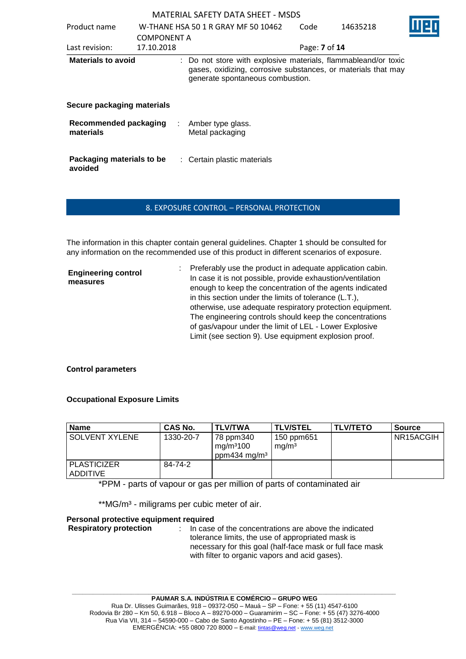| Product name                              |                    |   | W-THANE HSA 50 1 R GRAY MF 50 10462                                                                                                                                 | Code          | 14635218 |  |
|-------------------------------------------|--------------------|---|---------------------------------------------------------------------------------------------------------------------------------------------------------------------|---------------|----------|--|
|                                           | <b>COMPONENT A</b> |   |                                                                                                                                                                     |               |          |  |
| Last revision:                            | 17.10.2018         |   |                                                                                                                                                                     | Page: 7 of 14 |          |  |
| <b>Materials to avoid</b>                 |                    |   | : Do not store with explosive materials, flammableand/or toxic<br>gases, oxidizing, corrosive substances, or materials that may<br>generate spontaneous combustion. |               |          |  |
| Secure packaging materials                |                    |   |                                                                                                                                                                     |               |          |  |
| <b>Recommended packaging</b><br>materials |                    | ÷ | Amber type glass.<br>Metal packaging                                                                                                                                |               |          |  |
| Packaging materials to be<br>avoided      |                    |   | : Certain plastic materials                                                                                                                                         |               |          |  |

## 8. EXPOSURE CONTROL – PERSONAL PROTECTION

The information in this chapter contain general guidelines. Chapter 1 should be consulted for any information on the recommended use of this product in different scenarios of exposure.

| <b>Engineering control</b><br>measures | Preferably use the product in adequate application cabin.<br>In case it is not possible, provide exhaustion/ventilation<br>enough to keep the concentration of the agents indicated<br>in this section under the limits of tolerance (L.T.),<br>otherwise, use adequate respiratory protection equipment. |
|----------------------------------------|-----------------------------------------------------------------------------------------------------------------------------------------------------------------------------------------------------------------------------------------------------------------------------------------------------------|
|                                        | The engineering controls should keep the concentrations<br>of gas/vapour under the limit of LEL - Lower Explosive<br>Limit (see section 9). Use equipment explosion proof.                                                                                                                                |

### **Control parameters**

### **Occupational Exposure Limits**

| <b>Name</b>                    | CAS No.   | <b>TLV/TWA</b>                                                | <b>TLV/STEL</b>                 | <b>TLV/TETO</b> | <b>Source</b> |
|--------------------------------|-----------|---------------------------------------------------------------|---------------------------------|-----------------|---------------|
| SOLVENT XYLENE                 | 1330-20-7 | 78 ppm340<br>mg/m <sup>3100</sup><br>ppm434 mg/m <sup>3</sup> | 150 ppm651<br>mg/m <sup>3</sup> |                 | NR15ACGIH     |
| <b>PLASTICIZER</b><br>ADDITIVE | 84-74-2   |                                                               |                                 |                 |               |

\*PPM - parts of vapour or gas per million of parts of contaminated air

\*\* MG/m<sup>3</sup> - miligrams per cubic meter of air.

# **Personal protective equipment required<br>Respiratory protection : In case**

**Respirator in case of the concentrations are above the indicated** tolerance limits, the use of appropriated mask is necessary for this goal (half-face mask or full face mask with filter to organic vapors and acid gases).

**\_\_\_\_\_\_\_\_\_\_\_\_\_\_\_\_\_\_\_\_\_\_\_\_\_\_\_\_\_\_\_\_\_\_\_\_\_\_\_\_\_\_\_\_\_\_\_\_\_\_\_\_\_\_\_\_\_\_\_\_\_\_\_\_\_\_\_\_\_\_\_\_\_\_\_\_\_\_\_\_\_\_\_\_\_\_\_\_\_\_\_\_\_**

Rua Via VII, 314 – 54590-000 – Cabo de Santo Agostinho – PE – Fone: + 55 (81) 3512-3000 EMERGËNCIA: +55 0800 720 8000 – E-mail[: tintas@weg.net](mailto:tintas@weg.net) - [www.weg.net](http://www.weg.net/)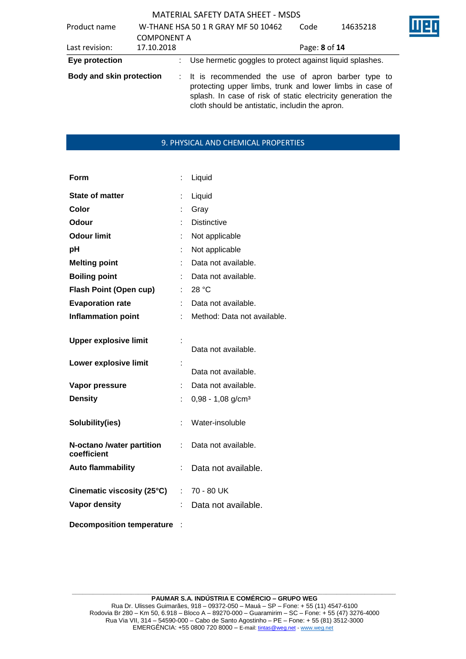| <b>MATERIAL SAFETY DATA SHEET - MSDS</b> |  |  |  |
|------------------------------------------|--|--|--|
|------------------------------------------|--|--|--|

| Product name                    |                                  | W-THANE HSA 50 1 R GRAY MF 50 10462                                                                                                                                                                                                | Code          | 14635218 |  |
|---------------------------------|----------------------------------|------------------------------------------------------------------------------------------------------------------------------------------------------------------------------------------------------------------------------------|---------------|----------|--|
| Last revision:                  | <b>COMPONENT A</b><br>17.10.2018 |                                                                                                                                                                                                                                    | Page: 8 of 14 |          |  |
|                                 |                                  |                                                                                                                                                                                                                                    |               |          |  |
| Eye protection                  |                                  | Use hermetic goggles to protect against liquid splashes.                                                                                                                                                                           |               |          |  |
| <b>Body and skin protection</b> |                                  | : It is recommended the use of apron barber type to<br>protecting upper limbs, trunk and lower limbs in case of<br>splash. In case of risk of static electricity generation the<br>cloth should be antistatic, includin the apron. |               |          |  |

# 9. PHYSICAL AND CHEMICAL PROPERTIES

| Form                                     | t, | Liquid                          |
|------------------------------------------|----|---------------------------------|
| <b>State of matter</b>                   |    | Liquid                          |
| Color                                    |    | Gray                            |
| Odour                                    |    | <b>Distinctive</b>              |
| <b>Odour limit</b>                       |    | Not applicable                  |
| pH                                       |    | Not applicable                  |
| <b>Melting point</b>                     |    | Data not available.             |
| <b>Boiling point</b>                     |    | Data not available.             |
| Flash Point (Open cup)                   | t. | 28 °C                           |
| <b>Evaporation rate</b>                  | ÷. | Data not available.             |
| <b>Inflammation point</b>                |    | Method: Data not available.     |
| <b>Upper explosive limit</b>             |    | Data not available.             |
| Lower explosive limit                    |    | Data not available.             |
| Vapor pressure                           | t. | Data not available.             |
| <b>Density</b>                           |    | $0,98 - 1,08$ g/cm <sup>3</sup> |
| Solubility(ies)                          | ÷  | Water-insoluble                 |
| N-octano /water partition<br>coefficient | ÷. | Data not available.             |
| <b>Auto flammability</b>                 | t  | Data not available.             |
| Cinematic viscosity (25°C)               | t. | 70 - 80 UK                      |
| Vapor density                            | t  | Data not available.             |
| <b>Decomposition temperature</b>         |    |                                 |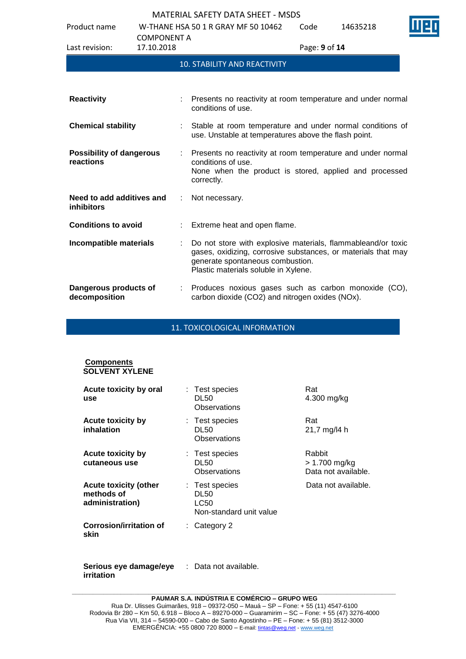Product name W-THANE HSA 50 1 R GRAY MF 50 10462

Code 14635218

| Last revision:                               | <b>COMPONENT A</b><br>17.10.2018 | Page: 9 of 14                                                                                                                                                                                             |
|----------------------------------------------|----------------------------------|-----------------------------------------------------------------------------------------------------------------------------------------------------------------------------------------------------------|
|                                              |                                  | <b>10. STABILITY AND REACTIVITY</b>                                                                                                                                                                       |
|                                              |                                  |                                                                                                                                                                                                           |
| <b>Reactivity</b>                            |                                  | : Presents no reactivity at room temperature and under normal<br>conditions of use.                                                                                                                       |
| <b>Chemical stability</b>                    |                                  | : Stable at room temperature and under normal conditions of<br>use. Unstable at temperatures above the flash point.                                                                                       |
| <b>Possibility of dangerous</b><br>reactions |                                  | : Presents no reactivity at room temperature and under normal<br>conditions of use.<br>None when the product is stored, applied and processed<br>correctly.                                               |
| Need to add additives and<br>inhibitors      | ÷                                | Not necessary.                                                                                                                                                                                            |
| <b>Conditions to avoid</b>                   |                                  | : Extreme heat and open flame.                                                                                                                                                                            |
| Incompatible materials                       | ÷.                               | Do not store with explosive materials, flammableand/or toxic<br>gases, oxidizing, corrosive substances, or materials that may<br>generate spontaneous combustion.<br>Plastic materials soluble in Xylene. |
| Dangerous products of<br>decomposition       |                                  | Produces noxious gases such as carbon monoxide (CO),<br>carbon dioxide (CO2) and nitrogen oxides (NOx).                                                                                                   |

11. TOXICOLOGICAL INFORMATION

| <b>Components</b><br><b>SOLVENT XYLENE</b>                    |                                                                  |                                                |
|---------------------------------------------------------------|------------------------------------------------------------------|------------------------------------------------|
| Acute toxicity by oral<br>use                                 | : Test species<br><b>DL50</b><br>Observations                    | Rat<br>4.300 mg/kg                             |
| <b>Acute toxicity by</b><br>inhalation                        | : Test species<br><b>DL50</b><br>Observations                    | Rat<br>21,7 mg/l4 h                            |
| Acute toxicity by<br>cutaneous use                            | : Test species<br><b>DL50</b><br>Observations                    | Rabbit<br>> 1.700 mg/kg<br>Data not available. |
| <b>Acute toxicity (other</b><br>methods of<br>administration) | : Test species<br><b>DL50</b><br>LC50<br>Non-standard unit value | Data not available.                            |
| <b>Corrosion/irritation of</b><br>skin                        | $\therefore$ Category 2                                          |                                                |

**Serious eye damage/eye**  : Data not available.**irritation**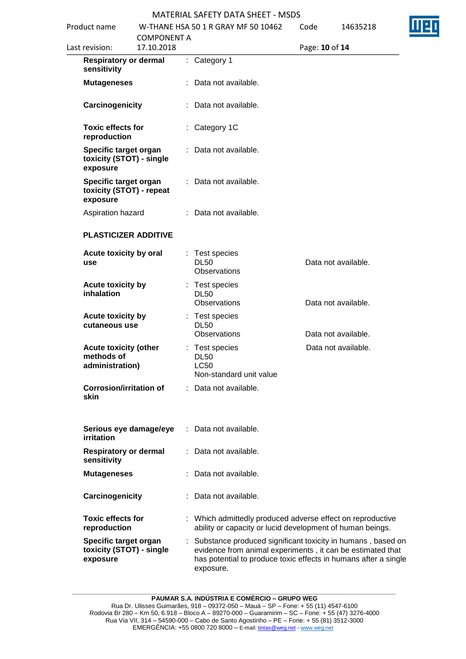| Product name   |                                                               |                                  | W-THANE HSA 50 1 R GRAY MF 50 10462                                                                                                                                                                       | Code           | 14635218            |  |
|----------------|---------------------------------------------------------------|----------------------------------|-----------------------------------------------------------------------------------------------------------------------------------------------------------------------------------------------------------|----------------|---------------------|--|
| Last revision: |                                                               | <b>COMPONENT A</b><br>17.10.2018 |                                                                                                                                                                                                           | Page: 10 of 14 |                     |  |
|                | <b>Respiratory or dermal</b><br>sensitivity                   |                                  | : Category 1                                                                                                                                                                                              |                |                     |  |
|                | <b>Mutageneses</b>                                            |                                  | : Data not available.                                                                                                                                                                                     |                |                     |  |
|                | Carcinogenicity                                               |                                  | Data not available.                                                                                                                                                                                       |                |                     |  |
|                | <b>Toxic effects for</b><br>reproduction                      |                                  | : Category 1C                                                                                                                                                                                             |                |                     |  |
|                | Specific target organ<br>toxicity (STOT) - single<br>exposure |                                  | Data not available.                                                                                                                                                                                       |                |                     |  |
|                | Specific target organ<br>toxicity (STOT) - repeat<br>exposure |                                  | : Data not available.                                                                                                                                                                                     |                |                     |  |
|                | Aspiration hazard                                             |                                  | : Data not available.                                                                                                                                                                                     |                |                     |  |
|                | <b>PLASTICIZER ADDITIVE</b>                                   |                                  |                                                                                                                                                                                                           |                |                     |  |
| use            | Acute toxicity by oral                                        |                                  | Test species<br><b>DL50</b><br>Observations                                                                                                                                                               |                | Data not available. |  |
|                | Acute toxicity by<br>inhalation                               |                                  | : Test species<br><b>DL50</b><br><b>Observations</b>                                                                                                                                                      |                | Data not available. |  |
|                | Acute toxicity by<br>cutaneous use                            |                                  | : Test species<br><b>DL50</b><br><b>Observations</b>                                                                                                                                                      |                | Data not available. |  |
|                | <b>Acute toxicity (other</b><br>methods of<br>administration) |                                  | : Test species<br><b>DL50</b><br><b>LC50</b><br>Non-standard unit value                                                                                                                                   |                | Data not available. |  |
|                | <b>Corrosion/irritation of</b><br>skin                        |                                  | Data not available.                                                                                                                                                                                       |                |                     |  |
|                | Serious eye damage/eye<br>irritation                          |                                  | Data not available.                                                                                                                                                                                       |                |                     |  |
|                | <b>Respiratory or dermal</b><br>sensitivity                   |                                  | : Data not available.                                                                                                                                                                                     |                |                     |  |
|                | <b>Mutageneses</b>                                            |                                  | Data not available.                                                                                                                                                                                       |                |                     |  |
|                | Carcinogenicity                                               |                                  | Data not available.                                                                                                                                                                                       |                |                     |  |
|                | <b>Toxic effects for</b><br>reproduction                      |                                  | Which admittedly produced adverse effect on reproductive<br>ability or capacity or lucid development of human beings.                                                                                     |                |                     |  |
|                | Specific target organ<br>toxicity (STOT) - single<br>exposure |                                  | Substance produced significant toxicity in humans, based on<br>evidence from animal experiments, it can be estimated that<br>has potential to produce toxic effects in humans after a single<br>exposure. |                |                     |  |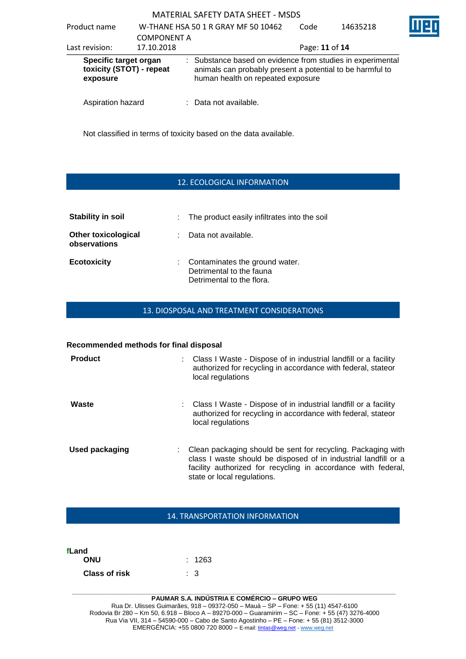| Product name                      | W-THANE HSA 50 1 R GRAY MF 50 10462<br><b>COMPONENT A</b> | Code                                                                                                                                                         | 14635218       |  |  |
|-----------------------------------|-----------------------------------------------------------|--------------------------------------------------------------------------------------------------------------------------------------------------------------|----------------|--|--|
| Last revision:                    | 17.10.2018                                                |                                                                                                                                                              | Page: 11 of 14 |  |  |
| Specific target organ<br>exposure | toxicity (STOT) - repeat                                  | : Substance based on evidence from studies in experimental<br>animals can probably present a potential to be harmful to<br>human health on repeated exposure |                |  |  |

Aspiration hazard : Data not available.

Not classified in terms of toxicity based on the data available.

## 12. ECOLOGICAL INFORMATION

| <b>Stability in soil</b>                   | : The product easily infiltrates into the soil                                            |
|--------------------------------------------|-------------------------------------------------------------------------------------------|
| <b>Other toxicological</b><br>observations | Data not available.                                                                       |
| <b>Ecotoxicity</b>                         | : Contaminates the ground water.<br>Detrimental to the fauna<br>Detrimental to the flora. |

### 13. DIOSPOSAL AND TREATMENT CONSIDERATIONS

#### **Recommended methods for final disposal**

| <b>Product</b> | : Class I Waste - Dispose of in industrial landfill or a facility<br>authorized for recycling in accordance with federal, stateor<br>local regulations                                                                          |
|----------------|---------------------------------------------------------------------------------------------------------------------------------------------------------------------------------------------------------------------------------|
| Waste          | : Class I Waste - Dispose of in industrial landfill or a facility<br>authorized for recycling in accordance with federal, stateor<br>local regulations                                                                          |
| Used packaging | Clean packaging should be sent for recycling. Packaging with<br>class I waste should be disposed of in industrial landfill or a<br>facility authorized for recycling in accordance with federal,<br>state or local regulations. |

### 14. TRANSPORTATION INFORMATION

| fLand                |                |
|----------------------|----------------|
| ONU                  | : 1263         |
| <b>Class of risk</b> | $\therefore$ 3 |

**\_\_\_\_\_\_\_\_\_\_\_\_\_\_\_\_\_\_\_\_\_\_\_\_\_\_\_\_\_\_\_\_\_\_\_\_\_\_\_\_\_\_\_\_\_\_\_\_\_\_\_\_\_\_\_\_\_\_\_\_\_\_\_\_\_\_\_\_\_\_\_\_\_\_\_\_\_\_\_\_\_\_\_\_\_\_\_\_\_\_\_\_\_ PAUMAR S.A. INDÚSTRIA E COMÉRCIO – GRUPO WEG** Rua Dr. Ulisses Guimarães, 918 – 09372-050 – Mauá – SP – Fone: + 55 (11) 4547-6100 Rodovia Br 280 – Km 50, 6.918 – Bloco A – 89270-000 – Guaramirim – SC – Fone: + 55 (47) 3276-4000 Rua Via VII, 314 – 54590-000 – Cabo de Santo Agostinho – PE – Fone: + 55 (81) 3512-3000 EMERGËNCIA: +55 0800 720 8000 – E-mail[: tintas@weg.net](mailto:tintas@weg.net) - [www.weg.net](http://www.weg.net/)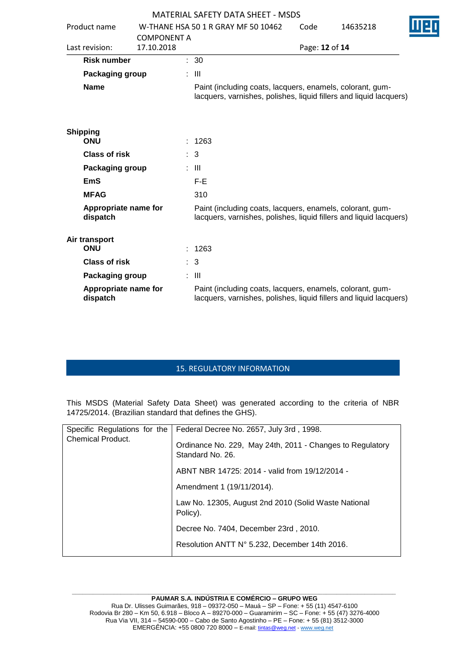|                                                                                                                                                                     |                    |                | <b>MATERIAL SAFETY DATA SHEET - MSDS</b>                                                                                        |                |          |
|---------------------------------------------------------------------------------------------------------------------------------------------------------------------|--------------------|----------------|---------------------------------------------------------------------------------------------------------------------------------|----------------|----------|
| Product name                                                                                                                                                        |                    |                | W-THANE HSA 50 1 R GRAY MF 50 10462                                                                                             | Code           | 14635218 |
|                                                                                                                                                                     | <b>COMPONENT A</b> |                |                                                                                                                                 |                |          |
| Last revision:                                                                                                                                                      | 17.10.2018         |                |                                                                                                                                 | Page: 12 of 14 |          |
| <b>Risk number</b>                                                                                                                                                  |                    |                | : 30                                                                                                                            |                |          |
| Packaging group                                                                                                                                                     |                    |                | $\therefore$ $\blacksquare$                                                                                                     |                |          |
| <b>Name</b>                                                                                                                                                         |                    |                | Paint (including coats, lacquers, enamels, colorant, gum-<br>lacquers, varnishes, polishes, liquid fillers and liquid lacquers) |                |          |
| <b>Shipping</b><br>ONU                                                                                                                                              |                    |                | 1263                                                                                                                            |                |          |
| <b>Class of risk</b>                                                                                                                                                |                    | $\therefore$ 3 |                                                                                                                                 |                |          |
| Packaging group                                                                                                                                                     |                    |                | : III                                                                                                                           |                |          |
| <b>EmS</b>                                                                                                                                                          |                    |                | F-E                                                                                                                             |                |          |
| <b>MFAG</b>                                                                                                                                                         |                    |                | 310                                                                                                                             |                |          |
| Appropriate name for<br>Paint (including coats, lacquers, enamels, colorant, gum-<br>dispatch<br>lacquers, varnishes, polishes, liquid fillers and liquid lacquers) |                    |                |                                                                                                                                 |                |          |
| Air transport<br><b>ONU</b>                                                                                                                                         |                    |                | 1263                                                                                                                            |                |          |
| Class of risk                                                                                                                                                       |                    | $\therefore$ 3 |                                                                                                                                 |                |          |
| Packaging group                                                                                                                                                     |                    |                | $\therefore$ III                                                                                                                |                |          |
| Appropriate name for<br>dispatch                                                                                                                                    |                    |                | Paint (including coats, lacquers, enamels, colorant, gum-<br>lacquers, varnishes, polishes, liquid fillers and liquid lacquers) |                |          |

# 15. REGULATORY INFORMATION

This MSDS (Material Safety Data Sheet) was generated according to the criteria of NBR 14725/2014. (Brazilian standard that defines the GHS).

| Specific Regulations for the<br><b>Chemical Product.</b> | Federal Decree No. 2657, July 3rd, 1998.                                      |
|----------------------------------------------------------|-------------------------------------------------------------------------------|
|                                                          | Ordinance No. 229, May 24th, 2011 - Changes to Regulatory<br>Standard No. 26. |
|                                                          | ABNT NBR 14725: 2014 - valid from 19/12/2014 -                                |
|                                                          | Amendment 1 (19/11/2014).                                                     |
|                                                          | Law No. 12305, August 2nd 2010 (Solid Waste National<br>Policy).              |
|                                                          | Decree No. 7404, December 23rd, 2010.                                         |
|                                                          | Resolution ANTT N° 5.232, December 14th 2016.                                 |
|                                                          |                                                                               |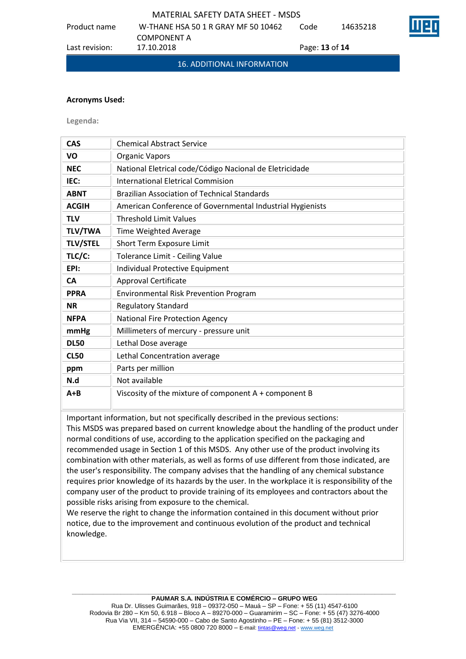Code 14635218



COMPONENT A Last revision: 17.10.2018 Page: **13** of **14**

Product name W-THANE HSA 50 1 R GRAY MF 50 10462

16. ADDITIONAL INFORMATION

#### **Acronyms Used:**

**Legenda:**

| <b>CAS</b>      | <b>Chemical Abstract Service</b>                          |
|-----------------|-----------------------------------------------------------|
| VO              | <b>Organic Vapors</b>                                     |
| <b>NEC</b>      | National Eletrical code/Código Nacional de Eletricidade   |
| IEC:            | <b>International Eletrical Commision</b>                  |
| <b>ABNT</b>     | <b>Brazilian Association of Technical Standards</b>       |
| <b>ACGIH</b>    | American Conference of Governmental Industrial Hygienists |
| <b>TLV</b>      | <b>Threshold Limit Values</b>                             |
| <b>TLV/TWA</b>  | Time Weighted Average                                     |
| <b>TLV/STEL</b> | Short Term Exposure Limit                                 |
| TLC/C:          | Tolerance Limit - Ceiling Value                           |
| EPI:            | Individual Protective Equipment                           |
| <b>CA</b>       | <b>Approval Certificate</b>                               |
| <b>PPRA</b>     | <b>Environmental Risk Prevention Program</b>              |
| <b>NR</b>       | <b>Regulatory Standard</b>                                |
| <b>NFPA</b>     | <b>National Fire Protection Agency</b>                    |
| mmHg            | Millimeters of mercury - pressure unit                    |
| <b>DL50</b>     | Lethal Dose average                                       |
| <b>CL50</b>     | Lethal Concentration average                              |
| ppm             | Parts per million                                         |
| N.d             | Not available                                             |
| $A + B$         | Viscosity of the mixture of component A + component B     |

Important information, but not specifically described in the previous sections:

This MSDS was prepared based on current knowledge about the handling of the product under normal conditions of use, according to the application specified on the packaging and recommended usage in Section 1 of this MSDS. Any other use of the product involving its combination with other materials, as well as forms of use different from those indicated, are the user's responsibility. The company advises that the handling of any chemical substance requires prior knowledge of its hazards by the user. In the workplace it is responsibility of the company user of the product to provide training of its employees and contractors about the possible risks arising from exposure to the chemical.

We reserve the right to change the information contained in this document without prior notice, due to the improvement and continuous evolution of the product and technical knowledge.